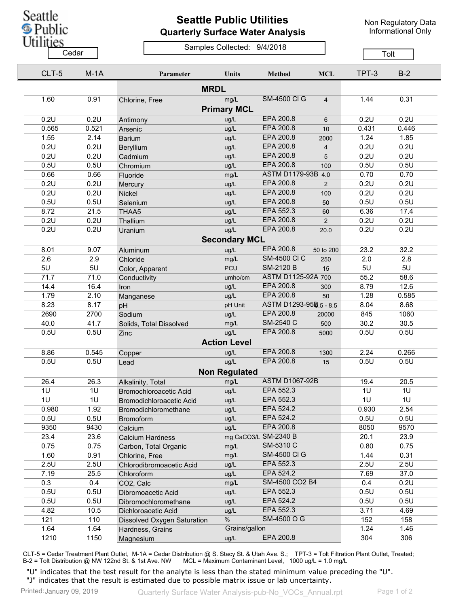

## **Seattle Public Utilities Quarterly Surface Water Analysis**

Non Regulatory Data Informational Only

## Samples Collected: 9/4/2018 Cedar **Cedar** Cedar Constitution of Tolt

|  | CLT-5                | $M-1A$ | Parameter                   | <b>Units</b>         | <b>Method</b>          | <b>MCL</b>     | TPT-3 | $B-2$ |  |
|--|----------------------|--------|-----------------------------|----------------------|------------------------|----------------|-------|-------|--|
|  |                      |        |                             |                      |                        |                |       |       |  |
|  | 1.60                 | 0.91   | Chlorine, Free              | mg/L                 | <b>SM-4500 CI G</b>    | $\overline{4}$ | 1.44  | 0.31  |  |
|  |                      |        |                             | <b>Primary MCL</b>   |                        |                |       |       |  |
|  | 0.2U                 | 0.2U   | Antimony                    | ug/L                 | EPA 200.8              | 6              | 0.2U  | 0.2U  |  |
|  | 0.565                | 0.521  | Arsenic                     | ug/L                 | EPA 200.8              | 10             | 0.431 | 0.446 |  |
|  | 1.55                 | 2.14   | <b>Barium</b>               | ug/L                 | EPA 200.8              | 2000           | 1.24  | 1.85  |  |
|  | 0.2U                 | 0.2U   | Beryllium                   | ug/L                 | EPA 200.8              | $\overline{4}$ | 0.2U  | 0.2U  |  |
|  | 0.2U                 | 0.2U   | Cadmium                     | ug/L                 | EPA 200.8              | 5              | 0.2U  | 0.2U  |  |
|  | 0.5U                 | 0.5U   | Chromium                    | ug/L                 | EPA 200.8              | 100            | 0.5U  | 0.5U  |  |
|  | 0.66                 | 0.66   | Fluoride                    | mg/L                 | ASTM D1179-93B 4.0     |                | 0.70  | 0.70  |  |
|  | 0.2U                 | 0.2U   | Mercury                     | ug/L                 | EPA 200.8              | $\overline{2}$ | 0.2U  | 0.2U  |  |
|  | 0.2U                 | 0.2U   | Nickel                      | ug/L                 | EPA 200.8              | 100            | 0.2U  | 0.2U  |  |
|  | 0.5U                 | 0.5U   | Selenium                    | ug/L                 | EPA 200.8              | 50             | 0.5U  | 0.5U  |  |
|  | 8.72                 | 21.5   | THAA5                       | ug/L                 | EPA 552.3              | 60             | 6.36  | 17.4  |  |
|  | 0.2U                 | 0.2U   | Thallium                    | ug/L                 | <b>EPA 200.8</b>       | $\overline{2}$ | 0.2U  | 0.2U  |  |
|  | 0.2U                 | 0.2U   | Uranium                     | ug/L                 | EPA 200.8              | 20.0           | 0.2U  | 0.2U  |  |
|  | <b>Secondary MCL</b> |        |                             |                      |                        |                |       |       |  |
|  | 8.01                 | 9.07   | Aluminum                    | ug/L                 | EPA 200.8              | 50 to 200      | 23.2  | 32.2  |  |
|  | 2.6                  | 2.9    | Chloride                    | mg/L                 | <b>SM-4500 CI C</b>    | 250            | 2.0   | 2.8   |  |
|  | 5U                   | 5U     | Color, Apparent             | <b>PCU</b>           | <b>SM-2120 B</b>       | 15             | 5U    | 5U    |  |
|  | 71.7                 | 71.0   | Conductivity                | umho/cm              | ASTM D1125-92A 700     |                | 55.2  | 58.6  |  |
|  | 14.4                 | 16.4   | Iron                        | ug/L                 | EPA 200.8              | 300            | 8.79  | 12.6  |  |
|  | 1.79                 | 2.10   | Manganese                   | ug/L                 | EPA 200.8              | 50             | 1.28  | 0.585 |  |
|  | 8.23                 | 8.17   | pH                          | pH Unit              | ASTM D1293-958.5 - 8.5 |                | 8.04  | 8.68  |  |
|  | 2690                 | 2700   | Sodium                      | ug/L                 | EPA 200.8              | 20000          | 845   | 1060  |  |
|  | 40.0                 | 41.7   | Solids, Total Dissolved     | mg/L                 | SM-2540 C              | 500            | 30.2  | 30.5  |  |
|  | 0.5U                 | 0.5U   | Zinc                        | ug/L                 | EPA 200.8              | 5000           | 0.5U  | 0.5U  |  |
|  |                      |        |                             | <b>Action Level</b>  |                        |                |       |       |  |
|  | 8.86                 | 0.545  | Copper                      | ug/L                 | EPA 200.8              | 1300           | 2.24  | 0.266 |  |
|  | 0.5U                 | 0.5U   | Lead                        | ug/L                 | EPA 200.8              | 15             | 0.5U  | 0.5U  |  |
|  |                      |        |                             | <b>Non Regulated</b> |                        |                |       |       |  |
|  | 26.4                 | 26.3   | Alkalinity, Total           | mg/L                 | <b>ASTM D1067-92B</b>  |                | 19.4  | 20.5  |  |
|  | 1U                   | 1U     | Bromochloroacetic Acid      | ug/L                 | EPA 552.3              |                | 1U    | 1U    |  |
|  | 1U                   | 1U     | Bromodichloroacetic Acid    | ug/L                 | EPA 552.3              |                | 1U    | 1U    |  |
|  | 0.980                | 1.92   | Bromodichloromethane        | ug/L                 | EPA 524.2              |                | 0.930 | 2.54  |  |
|  | 0.5U                 | 0.5U   | <b>Bromoform</b>            | ug/L                 | EPA 524.2              |                | 0.5U  | 0.5U  |  |
|  | 9350                 | 9430   | Calcium                     | ug/L                 | EPA 200.8              |                | 8050  | 9570  |  |
|  | 23.4                 | 23.6   | <b>Calcium Hardness</b>     |                      | mg CaCO3/L SM-2340 B   |                | 20.1  | 23.9  |  |
|  | 0.75                 | 0.75   | Carbon, Total Organic       | mg/L                 | SM-5310 C              |                | 0.80  | 0.75  |  |
|  | 1.60                 | 0.91   | Chlorine, Free              | mg/L                 | <b>SM-4500 CI G</b>    |                | 1.44  | 0.31  |  |
|  | 2.5U                 | 2.5U   | Chlorodibromoacetic Acid    | ug/L                 | EPA 552.3              |                | 2.5U  | 2.5U  |  |
|  | 7.19                 | 25.5   | Chloroform                  | ug/L                 | EPA 524.2              |                | 7.69  | 37.0  |  |
|  | 0.3                  | 0.4    | CO2, Calc                   | mg/L                 | SM-4500 CO2 B4         |                | 0.4   | 0.2U  |  |
|  | 0.5U                 | 0.5U   | Dibromoacetic Acid          | ug/L                 | EPA 552.3              |                | 0.5U  | 0.5U  |  |
|  | 0.5U                 | 0.5U   | Dibromochloromethane        | ug/L                 | EPA 524.2              |                | 0.5U  | 0.5U  |  |
|  | 4.82                 | 10.5   | Dichloroacetic Acid         | ug/L                 | EPA 552.3              |                | 3.71  | 4.69  |  |
|  | 121                  | 110    | Dissolved Oxygen Saturation | $\%$                 | SM-4500 O G            |                | 152   | 158   |  |
|  | 1.64                 | 1.64   | Hardness, Grains            | Grains/gallon        |                        |                | 1.24  | 1.46  |  |
|  | 1210                 | 1150   | Magnesium                   | ug/L                 | EPA 200.8              |                | 304   | 306   |  |
|  |                      |        |                             |                      |                        |                |       |       |  |

CLT-5 = Cedar Treatment Plant Outlet, M-1A = Cedar Distribution @ S. Stacy St. & Utah Ave. S.; TPT-3 = Tolt Filtration Plant Outlet, Treated; B-2 = Tolt Distribution @ NW 122nd St. & 1st Ave. NW MCL = Maximum Contaminant Level, 1000 ug/L = 1.0 mg/L

"U" indicates that the test result for the analyte is less than the stated minimum value preceding the "U". "J" indicates that the result is estimated due to possible matrix issue or lab uncertainty.